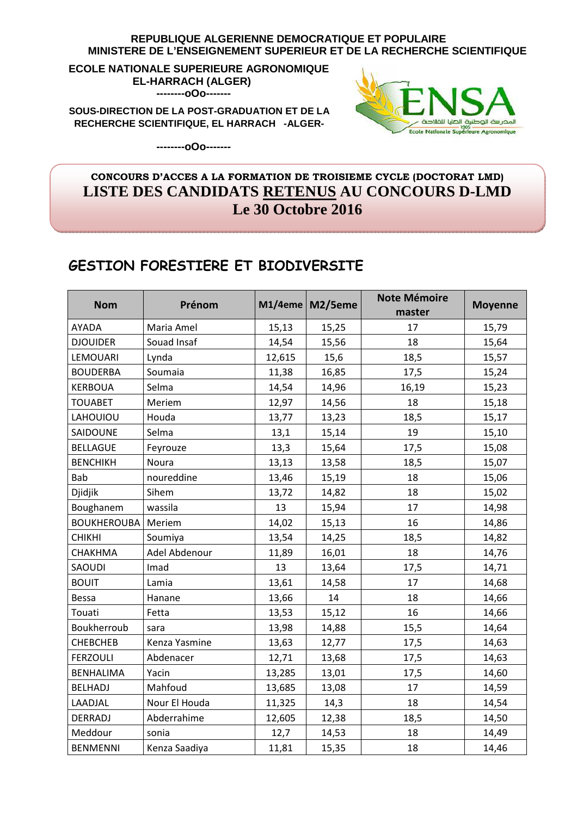#### REPUBLIQUE ALGERIENNE DEMOCRATIQUE ET POPULAIRE MINISTERE DE L'ENSEIGNEMENT SUPERIEUR ET DE LA RECHERCHE SCIENTIFIQUE

ECOLE NATIONALE SUPERIEURE AGRONOMIQUE **EL-HARRACH (ALGER)** --------000-------

SOUS-DIRECTION DE LA POST-GRADUATION ET DE LA RECHERCHE SCIENTIFIQUE, EL HARRACH -ALGER-



--------000-------

### CONCOURS D'ACCES A LA FORMATION DE TROISIEME CYCLE (DOCTORAT LMD) LISTE DES CANDIDATS RETENUS AU CONCOURS D-LMD Le  $30$  Octobre 2016

## **GESTION FORESTIERE ET BIODIVERSITE**

| <b>Nom</b>         | Prénom        |        | M1/4eme   M2/5eme | <b>Note Mémoire</b><br>master | <b>Moyenne</b> |
|--------------------|---------------|--------|-------------------|-------------------------------|----------------|
| AYADA              | Maria Amel    | 15,13  | 15,25             | 17                            | 15,79          |
| <b>DJOUIDER</b>    | Souad Insaf   | 14,54  | 15,56             | 18                            | 15,64          |
| LEMOUARI           | Lynda         | 12,615 | 15,6              | 18,5                          | 15,57          |
| <b>BOUDERBA</b>    | Soumaia       | 11,38  | 16,85             | 17,5                          | 15,24          |
| <b>KERBOUA</b>     | Selma         | 14,54  | 14,96             | 16,19                         | 15,23          |
| <b>TOUABET</b>     | Meriem        | 12,97  | 14,56             | 18                            | 15,18          |
| LAHOUIOU           | Houda         | 13,77  | 13,23             | 18,5                          | 15,17          |
| SAIDOUNE           | Selma         | 13,1   | 15,14             | 19                            | 15,10          |
| <b>BELLAGUE</b>    | Feyrouze      | 13,3   | 15,64             | 17,5                          | 15,08          |
| <b>BENCHIKH</b>    | Noura         | 13,13  | 13,58             | 18,5                          | 15,07          |
| Bab                | noureddine    | 13,46  | 15,19             | 18                            | 15,06          |
| Djidjik            | Sihem         | 13,72  | 14,82             | 18                            | 15,02          |
| Boughanem          | wassila       | 13     | 15,94             | 17                            | 14,98          |
| <b>BOUKHEROUBA</b> | Meriem        | 14,02  | 15,13             | 16                            | 14,86          |
| <b>CHIKHI</b>      | Soumiya       | 13,54  | 14,25             | 18,5                          | 14,82          |
| CHAKHMA            | Adel Abdenour | 11,89  | 16,01             | 18                            | 14,76          |
| SAOUDI             | Imad          | 13     | 13,64             | 17,5                          | 14,71          |
| <b>BOUIT</b>       | Lamia         | 13,61  | 14,58             | 17                            | 14,68          |
| <b>Bessa</b>       | Hanane        | 13,66  | 14                | 18                            | 14,66          |
| Touati             | Fetta         | 13,53  | 15,12             | 16                            | 14,66          |
| Boukherroub        | sara          | 13,98  | 14,88             | 15,5                          | 14,64          |
| <b>CHEBCHEB</b>    | Kenza Yasmine | 13,63  | 12,77             | 17,5                          | 14,63          |
| <b>FERZOULI</b>    | Abdenacer     | 12,71  | 13,68             | 17,5                          | 14,63          |
| <b>BENHALIMA</b>   | Yacin         | 13,285 | 13,01             | 17,5                          | 14,60          |
| <b>BELHADJ</b>     | Mahfoud       | 13,685 | 13,08             | 17                            | 14,59          |
| LAADJAL            | Nour El Houda | 11,325 | 14,3              | 18                            | 14,54          |
| <b>DERRADJ</b>     | Abderrahime   | 12,605 | 12,38             | 18,5                          | 14,50          |
| Meddour            | sonia         | 12,7   | 14,53             | 18                            | 14,49          |
| <b>BENMENNI</b>    | Kenza Saadiya | 11,81  | 15,35             | 18                            | 14,46          |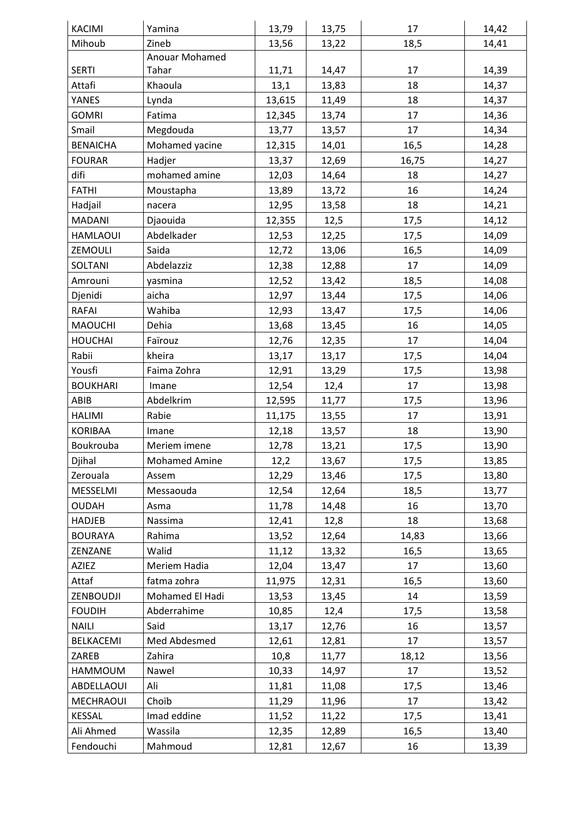| <b>KACIMI</b>   | Yamina               | 13,79  | 13,75 | 17    | 14,42 |
|-----------------|----------------------|--------|-------|-------|-------|
| Mihoub          | Zineb                | 13,56  | 13,22 | 18,5  | 14,41 |
|                 | Anouar Mohamed       |        |       |       |       |
| <b>SERTI</b>    | Tahar                | 11,71  | 14,47 | 17    | 14,39 |
| Attafi          | Khaoula              | 13,1   | 13,83 | 18    | 14,37 |
| YANES           | Lynda                | 13,615 | 11,49 | 18    | 14,37 |
| <b>GOMRI</b>    | Fatima               | 12,345 | 13,74 | 17    | 14,36 |
| Smail           | Megdouda             | 13,77  | 13,57 | 17    | 14,34 |
| <b>BENAICHA</b> | Mohamed yacine       | 12,315 | 14,01 | 16,5  | 14,28 |
| <b>FOURAR</b>   | Hadjer               | 13,37  | 12,69 | 16,75 | 14,27 |
| difi            | mohamed amine        | 12,03  | 14,64 | 18    | 14,27 |
| <b>FATHI</b>    | Moustapha            | 13,89  | 13,72 | 16    | 14,24 |
| Hadjail         | nacera               | 12,95  | 13,58 | 18    | 14,21 |
| MADANI          | Djaouida             | 12,355 | 12,5  | 17,5  | 14,12 |
| <b>HAMLAOUI</b> | Abdelkader           | 12,53  | 12,25 | 17,5  | 14,09 |
| ZEMOULI         | Saida                | 12,72  | 13,06 | 16,5  | 14,09 |
| SOLTANI         | Abdelazziz           | 12,38  | 12,88 | 17    | 14,09 |
| Amrouni         | yasmina              | 12,52  | 13,42 | 18,5  | 14,08 |
| Djenidi         | aicha                | 12,97  | 13,44 | 17,5  | 14,06 |
| RAFAI           | Wahiba               | 12,93  | 13,47 | 17,5  | 14,06 |
| <b>MAOUCHI</b>  | Dehia                | 13,68  | 13,45 | 16    | 14,05 |
| <b>HOUCHAI</b>  | Faïrouz              | 12,76  | 12,35 | 17    | 14,04 |
| Rabii           | kheira               | 13,17  | 13,17 | 17,5  | 14,04 |
| Yousfi          | Faima Zohra          | 12,91  | 13,29 | 17,5  | 13,98 |
| <b>BOUKHARI</b> | Imane                | 12,54  | 12,4  | 17    | 13,98 |
| ABIB            | Abdelkrim            | 12,595 | 11,77 | 17,5  | 13,96 |
| <b>HALIMI</b>   | Rabie                | 11,175 | 13,55 | 17    | 13,91 |
| <b>KORIBAA</b>  | Imane                | 12,18  | 13,57 | 18    | 13,90 |
| Boukrouba       | Meriem imene         | 12,78  | 13,21 | 17,5  | 13,90 |
| Djihal          | <b>Mohamed Amine</b> | 12,2   | 13,67 | 17,5  | 13,85 |
| Zerouala        | Assem                | 12,29  | 13,46 | 17,5  | 13,80 |
| MESSELMI        | Messaouda            | 12,54  | 12,64 | 18,5  | 13,77 |
| <b>OUDAH</b>    | Asma                 | 11,78  | 14,48 | 16    | 13,70 |
| <b>HADJEB</b>   | Nassima              | 12,41  | 12,8  | 18    | 13,68 |
| <b>BOURAYA</b>  | Rahima               | 13,52  | 12,64 | 14,83 | 13,66 |
| ZENZANE         | Walid                | 11,12  | 13,32 | 16,5  | 13,65 |
| <b>AZIEZ</b>    | Meriem Hadia         | 12,04  | 13,47 | 17    | 13,60 |
| Attaf           | fatma zohra          | 11,975 | 12,31 | 16,5  | 13,60 |
| ZENBOUDJI       | Mohamed El Hadi      | 13,53  | 13,45 | 14    | 13,59 |
| <b>FOUDIH</b>   | Abderrahime          | 10,85  | 12,4  | 17,5  | 13,58 |
| <b>NAILI</b>    | Said                 | 13,17  | 12,76 | 16    | 13,57 |
| BELKACEMI       | Med Abdesmed         | 12,61  | 12,81 | 17    | 13,57 |
| ZAREB           | Zahira               | 10,8   | 11,77 | 18,12 | 13,56 |
| HAMMOUM         | Nawel                | 10,33  | 14,97 | 17    | 13,52 |
| ABDELLAOUI      | Ali                  | 11,81  | 11,08 | 17,5  | 13,46 |
| MECHRAOUI       | Choïb                | 11,29  | 11,96 | 17    | 13,42 |
| <b>KESSAL</b>   | Imad eddine          | 11,52  | 11,22 | 17,5  | 13,41 |
| Ali Ahmed       | Wassila              | 12,35  | 12,89 | 16,5  | 13,40 |
| Fendouchi       | Mahmoud              | 12,81  | 12,67 | 16    | 13,39 |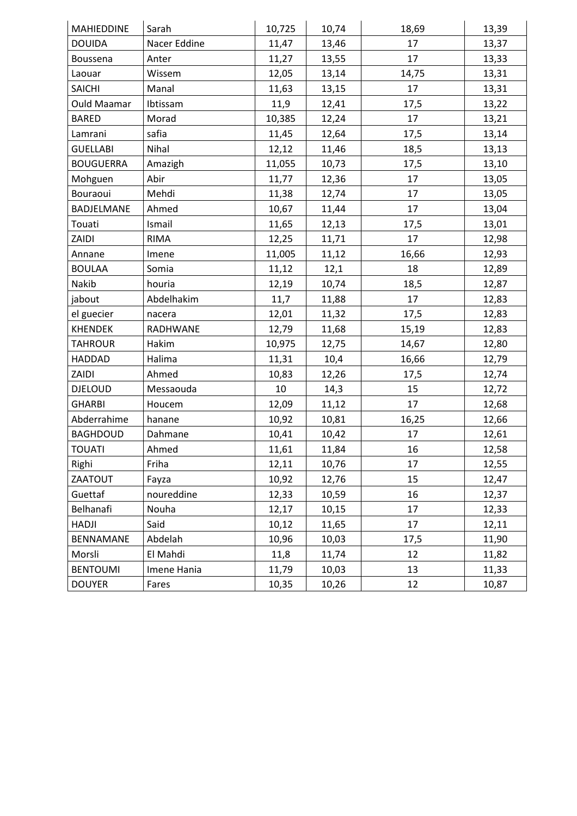| MAHIEDDINE         | Sarah        | 10,725 | 10,74 | 18,69 | 13,39 |
|--------------------|--------------|--------|-------|-------|-------|
| <b>DOUIDA</b>      | Nacer Eddine | 11,47  | 13,46 | 17    | 13,37 |
| Boussena           | Anter        | 11,27  | 13,55 | 17    | 13,33 |
| Laouar             | Wissem       | 12,05  | 13,14 | 14,75 | 13,31 |
| <b>SAICHI</b>      | Manal        | 11,63  | 13,15 | 17    | 13,31 |
| <b>Ould Maamar</b> | Ibtissam     | 11,9   | 12,41 | 17,5  | 13,22 |
| <b>BARED</b>       | Morad        | 10,385 | 12,24 | 17    | 13,21 |
| Lamrani            | safia        | 11,45  | 12,64 | 17,5  | 13,14 |
| <b>GUELLABI</b>    | Nihal        | 12,12  | 11,46 | 18,5  | 13,13 |
| <b>BOUGUERRA</b>   | Amazigh      | 11,055 | 10,73 | 17,5  | 13,10 |
| Mohguen            | Abir         | 11,77  | 12,36 | 17    | 13,05 |
| Bouraoui           | Mehdi        | 11,38  | 12,74 | 17    | 13,05 |
| BADJELMANE         | Ahmed        | 10,67  | 11,44 | 17    | 13,04 |
| Touati             | Ismail       | 11,65  | 12,13 | 17,5  | 13,01 |
| ZAIDI              | <b>RIMA</b>  | 12,25  | 11,71 | 17    | 12,98 |
| Annane             | Imene        | 11,005 | 11,12 | 16,66 | 12,93 |
| <b>BOULAA</b>      | Somia        | 11,12  | 12,1  | 18    | 12,89 |
| Nakib              | houria       | 12,19  | 10,74 | 18,5  | 12,87 |
| jabout             | Abdelhakim   | 11,7   | 11,88 | 17    | 12,83 |
| el guecier         | nacera       | 12,01  | 11,32 | 17,5  | 12,83 |
| <b>KHENDEK</b>     | RADHWANE     | 12,79  | 11,68 | 15,19 | 12,83 |
| <b>TAHROUR</b>     | Hakim        | 10,975 | 12,75 | 14,67 | 12,80 |
| <b>HADDAD</b>      | Halima       | 11,31  | 10,4  | 16,66 | 12,79 |
| ZAIDI              | Ahmed        | 10,83  | 12,26 | 17,5  | 12,74 |
| <b>DJELOUD</b>     | Messaouda    | 10     | 14,3  | 15    | 12,72 |
| <b>GHARBI</b>      | Houcem       | 12,09  | 11,12 | 17    | 12,68 |
| Abderrahime        | hanane       | 10,92  | 10,81 | 16,25 | 12,66 |
| <b>BAGHDOUD</b>    | Dahmane      | 10,41  | 10,42 | 17    | 12,61 |
| <b>TOUATI</b>      | Ahmed        | 11,61  | 11,84 | 16    | 12,58 |
| Righi              | Friha        | 12,11  | 10,76 | 17    | 12,55 |
| ZAATOUT            | Fayza        | 10,92  | 12,76 | 15    | 12,47 |
| Guettaf            | noureddine   | 12,33  | 10,59 | 16    | 12,37 |
| Belhanafi          | Nouha        | 12,17  | 10,15 | 17    | 12,33 |
| <b>HADJI</b>       | Said         | 10,12  | 11,65 | 17    | 12,11 |
| BENNAMANE          | Abdelah      | 10,96  | 10,03 | 17,5  | 11,90 |
| Morsli             | El Mahdi     | 11,8   | 11,74 | 12    | 11,82 |
| <b>BENTOUMI</b>    | Imene Hania  | 11,79  | 10,03 | 13    | 11,33 |
| <b>DOUYER</b>      | Fares        | 10,35  | 10,26 | 12    | 10,87 |